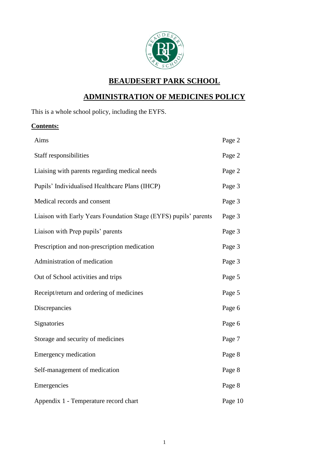

## **BEAUDESERT PARK SCHOOL**

# **ADMINISTRATION OF MEDICINES POLICY**

This is a whole school policy, including the EYFS.

## **Contents:**

| Aims                                                             | Page 2  |
|------------------------------------------------------------------|---------|
| Staff responsibilities                                           | Page 2  |
| Liaising with parents regarding medical needs                    | Page 2  |
| Pupils' Individualised Healthcare Plans (IHCP)                   | Page 3  |
| Medical records and consent                                      | Page 3  |
| Liaison with Early Years Foundation Stage (EYFS) pupils' parents | Page 3  |
| Liaison with Prep pupils' parents                                | Page 3  |
| Prescription and non-prescription medication                     | Page 3  |
| Administration of medication                                     | Page 3  |
| Out of School activities and trips                               | Page 5  |
| Receipt/return and ordering of medicines                         | Page 5  |
| Discrepancies                                                    | Page 6  |
| Signatories                                                      | Page 6  |
| Storage and security of medicines                                | Page 7  |
| <b>Emergency medication</b>                                      | Page 8  |
| Self-management of medication                                    | Page 8  |
| Emergencies                                                      | Page 8  |
| Appendix 1 - Temperature record chart                            | Page 10 |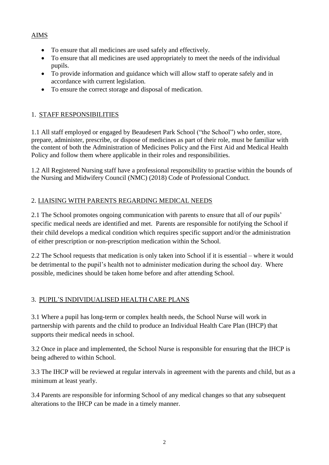#### AIMS

- To ensure that all medicines are used safely and effectively.
- To ensure that all medicines are used appropriately to meet the needs of the individual pupils.
- To provide information and guidance which will allow staff to operate safely and in accordance with current legislation.
- To ensure the correct storage and disposal of medication.

#### 1. STAFF RESPONSIBILITIES

1.1 All staff employed or engaged by Beaudesert Park School ("the School") who order, store, prepare, administer, prescribe, or dispose of medicines as part of their role, must be familiar with the content of both the Administration of Medicines Policy and the First Aid and Medical Health Policy and follow them where applicable in their roles and responsibilities.

1.2 All Registered Nursing staff have a professional responsibility to practise within the bounds of the Nursing and Midwifery Council (NMC) (2018) Code of Professional Conduct.

#### 2. LIAISING WITH PARENTS REGARDING MEDICAL NEEDS

2.1 The School promotes ongoing communication with parents to ensure that all of our pupils' specific medical needs are identified and met. Parents are responsible for notifying the School if their child develops a medical condition which requires specific support and/or the administration of either prescription or non-prescription medication within the School.

2.2 The School requests that medication is only taken into School if it is essential – where it would be detrimental to the pupil's health not to administer medication during the school day. Where possible, medicines should be taken home before and after attending School.

#### 3. PUPIL'S INDIVIDUALISED HEALTH CARE PLANS

3.1 Where a pupil has long-term or complex health needs, the School Nurse will work in partnership with parents and the child to produce an Individual Health Care Plan (IHCP) that supports their medical needs in school.

3.2 Once in place and implemented, the School Nurse is responsible for ensuring that the IHCP is being adhered to within School.

3.3 The IHCP will be reviewed at regular intervals in agreement with the parents and child, but as a minimum at least yearly.

3.4 Parents are responsible for informing School of any medical changes so that any subsequent alterations to the IHCP can be made in a timely manner.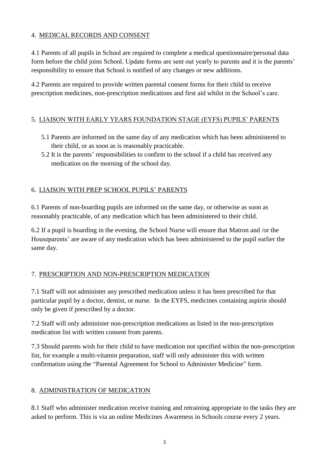#### 4. MEDICAL RECORDS AND CONSENT

4.1 Parents of all pupils in School are required to complete a medical questionnaire/personal data form before the child joins School. Update forms are sent out yearly to parents and it is the parents' responsibility to ensure that School is notified of any changes or new additions.

4.2 Parents are required to provide written parental consent forms for their child to receive prescription medicines, non-prescription medications and first aid whilst in the School's care.

#### 5. LIAISON WITH EARLY YEARS FOUNDATION STAGE (EYFS) PUPILS' PARENTS

- 5.1 Parents are informed on the same day of any medication which has been administered to their child, or as soon as is reasonably practicable.
- 5.2 It is the parents' responsibilities to confirm to the school if a child has received any medication on the morning of the school day.

#### 6. LIAISON WITH PREP SCHOOL PUPILS' PARENTS

6.1 Parents of non-boarding pupils are informed on the same day, or otherwise as soon as reasonably practicable, of any medication which has been administered to their child.

6.2 If a pupil is boarding in the evening, the School Nurse will ensure that Matron and /or the Houseparents' are aware of any medication which has been administered to the pupil earlier the same day.

#### 7. PRESCRIPTION AND NON-PRESCRIPTION MEDICATION

7.1 Staff will not administer any prescribed medication unless it has been prescribed for that particular pupil by a doctor, dentist, or nurse. In the EYFS, medicines containing aspirin should only be given if prescribed by a doctor.

7.2 Staff will only administer non-prescription medications as listed in the non-prescription medication list with written consent from parents.

7.3 Should parents wish for their child to have medication not specified within the non-prescription list, for example a multi-vitamin preparation, staff will only administer this with written confirmation using the "Parental Agreement for School to Administer Medicine" form.

#### 8. ADMINISTRATION OF MEDICATION

8.1 Staff who administer medication receive training and retraining appropriate to the tasks they are asked to perform. This is via an online Medicines Awareness in Schools course every 2 years.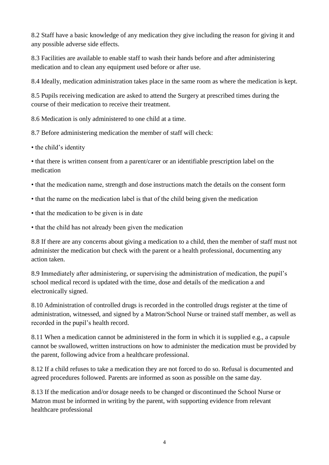8.2 Staff have a basic knowledge of any medication they give including the reason for giving it and any possible adverse side effects.

8.3 Facilities are available to enable staff to wash their hands before and after administering medication and to clean any equipment used before or after use.

8.4 Ideally, medication administration takes place in the same room as where the medication is kept.

8.5 Pupils receiving medication are asked to attend the Surgery at prescribed times during the course of their medication to receive their treatment.

8.6 Medication is only administered to one child at a time.

8.7 Before administering medication the member of staff will check:

• the child's identity

• that there is written consent from a parent/carer or an identifiable prescription label on the medication

• that the medication name, strength and dose instructions match the details on the consent form

- that the name on the medication label is that of the child being given the medication
- that the medication to be given is in date
- that the child has not already been given the medication

8.8 If there are any concerns about giving a medication to a child, then the member of staff must not administer the medication but check with the parent or a health professional, documenting any action taken.

8.9 Immediately after administering, or supervising the administration of medication, the pupil's school medical record is updated with the time, dose and details of the medication a and electronically signed.

8.10 Administration of controlled drugs is recorded in the controlled drugs register at the time of administration, witnessed, and signed by a Matron/School Nurse or trained staff member, as well as recorded in the pupil's health record.

8.11 When a medication cannot be administered in the form in which it is supplied e.g., a capsule cannot be swallowed, written instructions on how to administer the medication must be provided by the parent, following advice from a healthcare professional.

8.12 If a child refuses to take a medication they are not forced to do so. Refusal is documented and agreed procedures followed. Parents are informed as soon as possible on the same day.

8.13 If the medication and/or dosage needs to be changed or discontinued the School Nurse or Matron must be informed in writing by the parent, with supporting evidence from relevant healthcare professional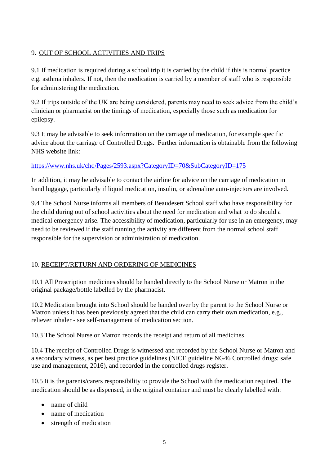#### 9. OUT OF SCHOOL ACTIVITIES AND TRIPS

9.1 If medication is required during a school trip it is carried by the child if this is normal practice e.g. asthma inhalers. If not, then the medication is carried by a member of staff who is responsible for administering the medication.

9.2 If trips outside of the UK are being considered, parents may need to seek advice from the child's clinician or pharmacist on the timings of medication, especially those such as medication for epilepsy.

9.3 It may be advisable to seek information on the carriage of medication, for example specific advice about the carriage of Controlled Drugs. Further information is obtainable from the following NHS website link:

#### <https://www.nhs.uk/chq/Pages/2593.aspx?CategoryID=70&SubCategoryID=175>

In addition, it may be advisable to contact the airline for advice on the carriage of medication in hand luggage, particularly if liquid medication, insulin, or adrenaline auto-injectors are involved.

9.4 The School Nurse informs all members of Beaudesert School staff who have responsibility for the child during out of school activities about the need for medication and what to do should a medical emergency arise. The accessibility of medication, particularly for use in an emergency, may need to be reviewed if the staff running the activity are different from the normal school staff responsible for the supervision or administration of medication.

#### 10. RECEIPT/RETURN AND ORDERING OF MEDICINES

10.1 All Prescription medicines should be handed directly to the School Nurse or Matron in the original package/bottle labelled by the pharmacist.

10.2 Medication brought into School should be handed over by the parent to the School Nurse or Matron unless it has been previously agreed that the child can carry their own medication, e.g., reliever inhaler - see self-management of medication section.

10.3 The School Nurse or Matron records the receipt and return of all medicines.

10.4 The receipt of Controlled Drugs is witnessed and recorded by the School Nurse or Matron and a secondary witness, as per best practice guidelines (NICE guideline NG46 Controlled drugs: safe use and management, 2016), and recorded in the controlled drugs register.

10.5 It is the parents/carers responsibility to provide the School with the medication required. The medication should be as dispensed, in the original container and must be clearly labelled with:

- name of child
- name of medication
- strength of medication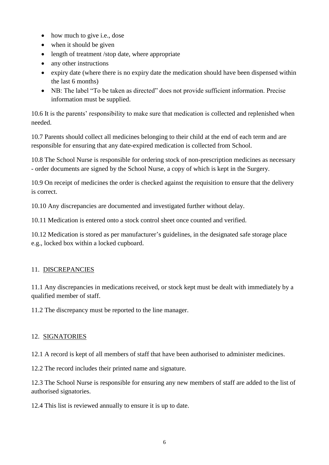- how much to give i.e., dose
- when it should be given
- length of treatment /stop date, where appropriate
- any other instructions
- expiry date (where there is no expiry date the medication should have been dispensed within the last 6 months)
- NB: The label "To be taken as directed" does not provide sufficient information. Precise information must be supplied.

10.6 It is the parents' responsibility to make sure that medication is collected and replenished when needed.

10.7 Parents should collect all medicines belonging to their child at the end of each term and are responsible for ensuring that any date-expired medication is collected from School.

10.8 The School Nurse is responsible for ordering stock of non-prescription medicines as necessary - order documents are signed by the School Nurse, a copy of which is kept in the Surgery.

10.9 On receipt of medicines the order is checked against the requisition to ensure that the delivery is correct.

10.10 Any discrepancies are documented and investigated further without delay.

10.11 Medication is entered onto a stock control sheet once counted and verified.

10.12 Medication is stored as per manufacturer's guidelines, in the designated safe storage place e.g., locked box within a locked cupboard.

## 11. DISCREPANCIES

11.1 Any discrepancies in medications received, or stock kept must be dealt with immediately by a qualified member of staff.

11.2 The discrepancy must be reported to the line manager.

## 12. SIGNATORIES

12.1 A record is kept of all members of staff that have been authorised to administer medicines.

12.2 The record includes their printed name and signature.

12.3 The School Nurse is responsible for ensuring any new members of staff are added to the list of authorised signatories.

12.4 This list is reviewed annually to ensure it is up to date.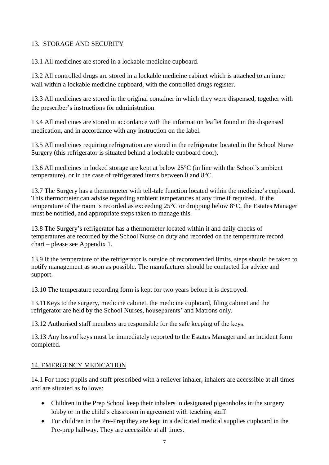#### 13. STORAGE AND SECURITY

13.1 All medicines are stored in a lockable medicine cupboard.

13.2 All controlled drugs are stored in a lockable medicine cabinet which is attached to an inner wall within a lockable medicine cupboard, with the controlled drugs register.

13.3 All medicines are stored in the original container in which they were dispensed, together with the prescriber's instructions for administration.

13.4 All medicines are stored in accordance with the information leaflet found in the dispensed medication, and in accordance with any instruction on the label.

13.5 All medicines requiring refrigeration are stored in the refrigerator located in the School Nurse Surgery (this refrigerator is situated behind a lockable cupboard door).

13.6 All medicines in locked storage are kept at below 25°C (in line with the School's ambient temperature), or in the case of refrigerated items between 0 and 8°C.

13.7 The Surgery has a thermometer with tell-tale function located within the medicine's cupboard. This thermometer can advise regarding ambient temperatures at any time if required. If the temperature of the room is recorded as exceeding 25°C or dropping below 8°C, the Estates Manager must be notified, and appropriate steps taken to manage this.

13.8 The Surgery's refrigerator has a thermometer located within it and daily checks of temperatures are recorded by the School Nurse on duty and recorded on the temperature record chart – please see Appendix 1.

13.9 If the temperature of the refrigerator is outside of recommended limits, steps should be taken to notify management as soon as possible. The manufacturer should be contacted for advice and support.

13.10 The temperature recording form is kept for two years before it is destroyed.

13.11Keys to the surgery, medicine cabinet, the medicine cupboard, filing cabinet and the refrigerator are held by the School Nurses, houseparents' and Matrons only.

13.12 Authorised staff members are responsible for the safe keeping of the keys.

13.13 Any loss of keys must be immediately reported to the Estates Manager and an incident form completed.

#### 14. EMERGENCY MEDICATION

14.1 For those pupils and staff prescribed with a reliever inhaler, inhalers are accessible at all times and are situated as follows:

- Children in the Prep School keep their inhalers in designated pigeonholes in the surgery lobby or in the child's classroom in agreement with teaching staff.
- For children in the Pre-Prep they are kept in a dedicated medical supplies cupboard in the Pre-prep hallway. They are accessible at all times.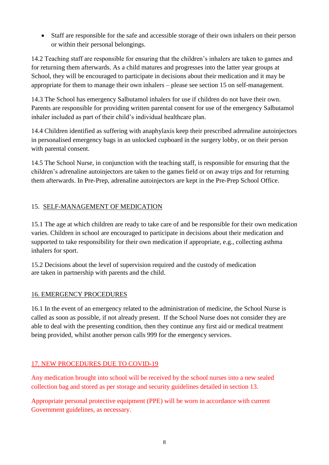Staff are responsible for the safe and accessible storage of their own inhalers on their person or within their personal belongings.

14.2 Teaching staff are responsible for ensuring that the children's inhalers are taken to games and for returning them afterwards. As a child matures and progresses into the latter year groups at School, they will be encouraged to participate in decisions about their medication and it may be appropriate for them to manage their own inhalers – please see section 15 on self-management.

14.3 The School has emergency Salbutamol inhalers for use if children do not have their own. Parents are responsible for providing written parental consent for use of the emergency Salbutamol inhaler included as part of their child's individual healthcare plan.

14.4 Children identified as suffering with anaphylaxis keep their prescribed adrenaline autoinjectors in personalised emergency bags in an unlocked cupboard in the surgery lobby, or on their person with parental consent.

14.5 The School Nurse, in conjunction with the teaching staff, is responsible for ensuring that the children's adrenaline autoinjectors are taken to the games field or on away trips and for returning them afterwards. In Pre-Prep, adrenaline autoinjectors are kept in the Pre-Prep School Office.

#### 15. SELF-MANAGEMENT OF MEDICATION

15.1 The age at which children are ready to take care of and be responsible for their own medication varies. Children in school are encouraged to participate in decisions about their medication and supported to take responsibility for their own medication if appropriate, e.g., collecting asthma inhalers for sport.

15.2 Decisions about the level of supervision required and the custody of medication are taken in partnership with parents and the child.

#### 16. EMERGENCY PROCEDURES

16.1 In the event of an emergency related to the administration of medicine, the School Nurse is called as soon as possible, if not already present. If the School Nurse does not consider they are able to deal with the presenting condition, then they continue any first aid or medical treatment being provided, whilst another person calls 999 for the emergency services.

#### 17. NEW PROCEDURES DUE TO COVID-19

Any medication brought into school will be received by the school nurses into a new sealed collection bag and stored as per storage and security guidelines detailed in section 13.

Appropriate personal protective equipment (PPE) will be worn in accordance with current Government guidelines, as necessary.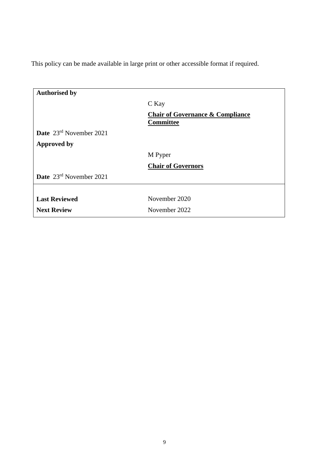This policy can be made available in large print or other accessible format if required.

| <b>Authorised by</b>                |                                                          |
|-------------------------------------|----------------------------------------------------------|
|                                     | C Kay                                                    |
|                                     | <b>Chair of Governance &amp; Compliance</b><br>Committee |
| <b>Date</b> $23^{rd}$ November 2021 |                                                          |
| <b>Approved by</b>                  |                                                          |
|                                     | M Pyper                                                  |
|                                     | <b>Chair of Governors</b>                                |
| Date 23rd November 2021             |                                                          |
|                                     |                                                          |
| <b>Last Reviewed</b>                | November 2020                                            |
| <b>Next Review</b>                  | November 2022                                            |